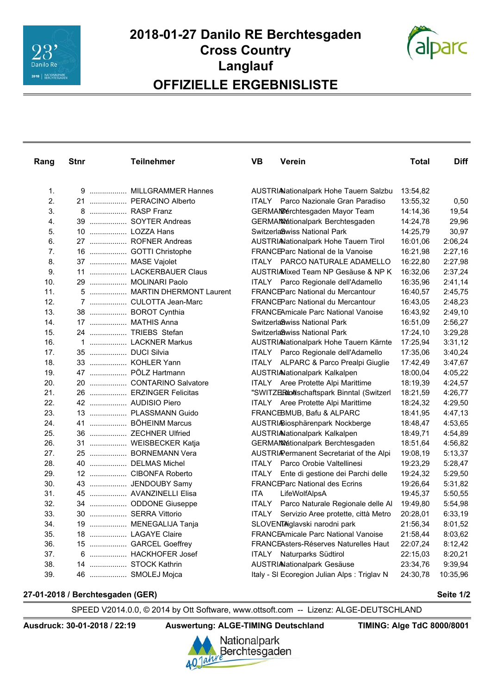



| Rang | Stnr | <b>Teilnehmer</b>          | VB.   | <b>Verein</b>                                | Total    | <b>Diff</b> |
|------|------|----------------------------|-------|----------------------------------------------|----------|-------------|
|      |      |                            |       |                                              |          |             |
| 1.   |      | 9  MILLGRAMMER Hannes      |       | AUSTRIANationalpark Hohe Tauern Salzbu       | 13:54,82 |             |
| 2.   |      | 21  PERACINO Alberto       |       | ITALY Parco Nazionale Gran Paradiso          | 13:55,32 | 0,50        |
| 3.   |      | 8  RASP Franz              |       | GERMANBerchtesgaden Mayor Team               | 14:14,36 | 19,54       |
| 4.   |      | 39  SOYTER Andreas         |       | <b>GERMANMetionalpark Berchtesgaden</b>      | 14:24,78 | 29,96       |
| 5.   |      | 10  LOZZA Hans             |       | Switzerla8wiss National Park                 | 14:25,79 | 30,97       |
| 6.   |      | 27  ROFNER Andreas         |       | AUSTRIANationalpark Hohe Tauern Tirol        | 16:01,06 | 2:06,24     |
| 7.   |      | 16  GOTTI Christophe       |       | FRANCEParc National de la Vanoise            | 16:21,98 | 2:27,16     |
| 8.   |      | 37  MASE Vajolet           |       | ITALY PARCO NATURALE ADAMELLO                | 16:22,80 | 2:27,98     |
| 9.   |      | 11  LACKERBAUER Claus      |       | AUSTRIAMixed Team NP Gesäuse & NP K          | 16:32,06 | 2:37,24     |
| 10.  |      | 29  MOLINARI Paolo         |       | ITALY Parco Regionale dell'Adamello          | 16:35,96 | 2:41,14     |
| 11.  |      | 5  MARTIN DHERMONT Laurent |       | FRANCEParc National du Mercantour            | 16:40,57 | 2:45,75     |
| 12.  |      | 7  CULOTTA Jean-Marc       |       | <b>FRANCEParc National du Mercantour</b>     | 16:43,05 | 2:48,23     |
| 13.  |      | 38  BOROT Cynthia          |       | <b>FRANCEAmicale Parc National Vanoise</b>   | 16:43,92 | 2:49,10     |
| 14.  |      | 17  MATHIS Anna            |       | Switzerla8wiss National Park                 | 16:51,09 | 2:56,27     |
| 15.  |      | 24  TRIEBS Stefan          |       | Switzerla8wiss National Park                 | 17:24,10 | 3:29,28     |
| 16.  |      | 1  LACKNER Markus          |       | AUSTRIANationalpark Hohe Tauern Kärnte       | 17:25,94 | 3:31,12     |
| 17.  |      | 35  DUCI Silvia            |       | ITALY Parco Regionale dell'Adamello          | 17:35,06 | 3:40,24     |
| 18.  |      | 33  KOHLER Yann            |       | ITALY ALPARC & Parco Prealpi Giuglie         | 17:42,49 | 3:47,67     |
| 19.  |      | 47  PÖLZ Hartmann          |       | AUSTRIANationalpark Kalkalpen                | 18:00,04 | 4:05.22     |
| 20.  |      | 20  CONTARINO Salvatore    |       | <b>ITALY</b> Aree Protette Alpi Marittime    | 18:19,39 | 4:24,57     |
| 21.  |      | 26  ERZINGER Felicitas     |       | "SWITZERIn@schaftspark Binntal (Switzerl     | 18:21,59 | 4:26,77     |
| 22.  |      | 42  AUDISIO Piero          |       | ITALY Aree Protette Alpi Marittime           | 18:24,32 | 4:29,50     |
| 23.  |      | 13  PLASSMANN Guido        |       | FRANCEBMUB, Bafu & ALPARC                    | 18:41,95 | 4:47,13     |
| 24.  |      | 41  BÖHEINM Marcus         |       | AUSTRIABiosphärenpark Nockberge              | 18:48,47 | 4:53,65     |
| 25.  |      | 36  ZECHNER Ulfried        |       | <b>AUSTRIA</b> Nationalpark Kalkalpen        | 18:49,71 | 4:54,89     |
| 26.  |      | 31  WEISBECKER Katja       |       | <b>GERMANMationalpark Berchtesgaden</b>      | 18:51,64 | 4:56,82     |
| 27.  |      | 25  BORNEMANN Vera         |       | AUSTRI/Permanent Secretariat of the Alpi     | 19:08,19 | 5:13,37     |
| 28.  |      | 40  DELMAS Michel          | ITALY | Parco Orobie Valtellinesi                    | 19:23,29 | 5:28,47     |
| 29.  |      | 12  CIBONFA Roberto        | ITALY | Ente di gestione dei Parchi delle            | 19:24,32 | 5:29,50     |
| 30.  |      | 43  JENDOUBY Samy          |       | <b>FRANCEParc National des Ecrins</b>        | 19:26,64 | 5:31,82     |
| 31.  |      | 45  AVANZINELLI Elisa      | ITA   | LifeWolfAlpsA                                | 19:45,37 | 5:50,55     |
| 32.  |      | 34  ODDONE Giuseppe        | ITALY | Parco Naturale Regionale delle Al            | 19:49,80 | 5:54,98     |
| 33.  |      | 30  SERRA Vittorio         | ITALY | Servizio Aree protette, città Metro          | 20:28,01 | 6:33,19     |
| 34.  |      | 19  MENEGALIJA Tanja       |       | SLOVENTAglavski narodni park                 | 21:56,34 | 8:01,52     |
| 35.  |      | 18  LAGAYE Claire          |       | <b>FRANCEAmicale Parc National Vanoise</b>   | 21:58,44 | 8:03,62     |
| 36.  |      | 15  GARCEL Goeffrey        |       | <b>FRANCEAsters-Réserves Naturelles Haut</b> | 22:07,24 | 8:12,42     |
| 37.  |      | 6  HACKHOFER Josef         |       | <b>ITALY</b> Naturparks Südtirol             | 22:15,03 | 8:20,21     |
| 38.  |      | 14  STOCK Kathrin          |       | <b>AUSTRIAationalpark Gesäuse</b>            | 23:34,76 | 9:39,94     |
| 39.  |      | 46  SMOLEJ Mojca           |       | Italy - SI Ecoregion Julian Alps: Triglav N  | 24:30,78 | 10:35,96    |

## **27-01-2018/Berchtesgaden(GER) Seite 1/2**

SPEED V2014.0.0, © 2014 by Ott Software, www.ottsoft.com -- Lizenz: ALGE-DEUTSCHLAND

Ausdruck: 30-01-2018 / 22:19 Auswertung: ALGE-TIMING Deutschland TIMING: Alge TdC 8000/8001